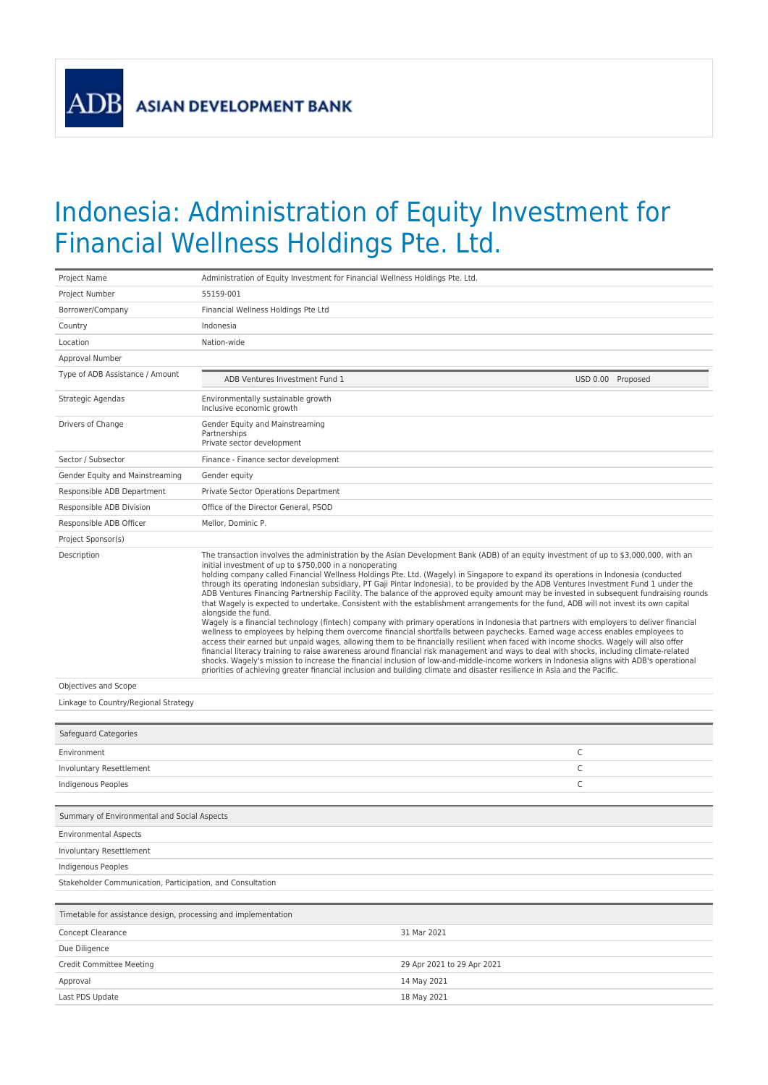## Indonesia: Administration of Equity Investment for Financial Wellness Holdings Pte. Ltd.

| Project Name                                                   | Administration of Equity Investment for Financial Wellness Holdings Pte. Ltd.                                                                                                                                                                                                                                                                                                                                                                                                                                                                                                                                                                                                                                                                                                                                                                                                                                                                                                                                                                                                                                                                                                                                                                                                                                                                                                                                                                                                                                                                                                                                                             |                            |                   |
|----------------------------------------------------------------|-------------------------------------------------------------------------------------------------------------------------------------------------------------------------------------------------------------------------------------------------------------------------------------------------------------------------------------------------------------------------------------------------------------------------------------------------------------------------------------------------------------------------------------------------------------------------------------------------------------------------------------------------------------------------------------------------------------------------------------------------------------------------------------------------------------------------------------------------------------------------------------------------------------------------------------------------------------------------------------------------------------------------------------------------------------------------------------------------------------------------------------------------------------------------------------------------------------------------------------------------------------------------------------------------------------------------------------------------------------------------------------------------------------------------------------------------------------------------------------------------------------------------------------------------------------------------------------------------------------------------------------------|----------------------------|-------------------|
| Project Number                                                 | 55159-001                                                                                                                                                                                                                                                                                                                                                                                                                                                                                                                                                                                                                                                                                                                                                                                                                                                                                                                                                                                                                                                                                                                                                                                                                                                                                                                                                                                                                                                                                                                                                                                                                                 |                            |                   |
| Borrower/Company                                               | Financial Wellness Holdings Pte Ltd                                                                                                                                                                                                                                                                                                                                                                                                                                                                                                                                                                                                                                                                                                                                                                                                                                                                                                                                                                                                                                                                                                                                                                                                                                                                                                                                                                                                                                                                                                                                                                                                       |                            |                   |
| Country                                                        | Indonesia                                                                                                                                                                                                                                                                                                                                                                                                                                                                                                                                                                                                                                                                                                                                                                                                                                                                                                                                                                                                                                                                                                                                                                                                                                                                                                                                                                                                                                                                                                                                                                                                                                 |                            |                   |
| Location                                                       | Nation-wide                                                                                                                                                                                                                                                                                                                                                                                                                                                                                                                                                                                                                                                                                                                                                                                                                                                                                                                                                                                                                                                                                                                                                                                                                                                                                                                                                                                                                                                                                                                                                                                                                               |                            |                   |
| Approval Number                                                |                                                                                                                                                                                                                                                                                                                                                                                                                                                                                                                                                                                                                                                                                                                                                                                                                                                                                                                                                                                                                                                                                                                                                                                                                                                                                                                                                                                                                                                                                                                                                                                                                                           |                            |                   |
| Type of ADB Assistance / Amount                                | ADB Ventures Investment Fund 1                                                                                                                                                                                                                                                                                                                                                                                                                                                                                                                                                                                                                                                                                                                                                                                                                                                                                                                                                                                                                                                                                                                                                                                                                                                                                                                                                                                                                                                                                                                                                                                                            |                            | USD 0.00 Proposed |
| Strategic Agendas                                              | Environmentally sustainable growth<br>Inclusive economic growth                                                                                                                                                                                                                                                                                                                                                                                                                                                                                                                                                                                                                                                                                                                                                                                                                                                                                                                                                                                                                                                                                                                                                                                                                                                                                                                                                                                                                                                                                                                                                                           |                            |                   |
| Drivers of Change                                              | Gender Equity and Mainstreaming<br>Partnerships<br>Private sector development                                                                                                                                                                                                                                                                                                                                                                                                                                                                                                                                                                                                                                                                                                                                                                                                                                                                                                                                                                                                                                                                                                                                                                                                                                                                                                                                                                                                                                                                                                                                                             |                            |                   |
| Sector / Subsector                                             | Finance - Finance sector development                                                                                                                                                                                                                                                                                                                                                                                                                                                                                                                                                                                                                                                                                                                                                                                                                                                                                                                                                                                                                                                                                                                                                                                                                                                                                                                                                                                                                                                                                                                                                                                                      |                            |                   |
| Gender Equity and Mainstreaming                                | Gender equity                                                                                                                                                                                                                                                                                                                                                                                                                                                                                                                                                                                                                                                                                                                                                                                                                                                                                                                                                                                                                                                                                                                                                                                                                                                                                                                                                                                                                                                                                                                                                                                                                             |                            |                   |
| Responsible ADB Department                                     | Private Sector Operations Department                                                                                                                                                                                                                                                                                                                                                                                                                                                                                                                                                                                                                                                                                                                                                                                                                                                                                                                                                                                                                                                                                                                                                                                                                                                                                                                                                                                                                                                                                                                                                                                                      |                            |                   |
| Responsible ADB Division                                       | Office of the Director General, PSOD                                                                                                                                                                                                                                                                                                                                                                                                                                                                                                                                                                                                                                                                                                                                                                                                                                                                                                                                                                                                                                                                                                                                                                                                                                                                                                                                                                                                                                                                                                                                                                                                      |                            |                   |
| Responsible ADB Officer                                        | Mellor, Dominic P.                                                                                                                                                                                                                                                                                                                                                                                                                                                                                                                                                                                                                                                                                                                                                                                                                                                                                                                                                                                                                                                                                                                                                                                                                                                                                                                                                                                                                                                                                                                                                                                                                        |                            |                   |
| Project Sponsor(s)                                             |                                                                                                                                                                                                                                                                                                                                                                                                                                                                                                                                                                                                                                                                                                                                                                                                                                                                                                                                                                                                                                                                                                                                                                                                                                                                                                                                                                                                                                                                                                                                                                                                                                           |                            |                   |
| Description                                                    | The transaction involves the administration by the Asian Development Bank (ADB) of an equity investment of up to \$3,000,000, with an<br>initial investment of up to \$750,000 in a nonoperating<br>holding company called Financial Wellness Holdings Pte. Ltd. (Wagely) in Singapore to expand its operations in Indonesia (conducted<br>through its operating Indonesian subsidiary, PT Gaji Pintar Indonesia), to be provided by the ADB Ventures Investment Fund 1 under the<br>ADB Ventures Financing Partnership Facility. The balance of the approved equity amount may be invested in subsequent fundraising rounds<br>that Wagely is expected to undertake. Consistent with the establishment arrangements for the fund, ADB will not invest its own capital<br>alongside the fund.<br>Wagely is a financial technology (fintech) company with primary operations in Indonesia that partners with employers to deliver financial<br>wellness to employees by helping them overcome financial shortfalls between paychecks. Earned wage access enables employees to<br>access their earned but unpaid wages, allowing them to be financially resilient when faced with income shocks. Wagely will also offer<br>financial literacy training to raise awareness around financial risk management and ways to deal with shocks, including climate-related<br>shocks. Wagely's mission to increase the financial inclusion of low-and-middle-income workers in Indonesia aligns with ADB's operational<br>priorities of achieving greater financial inclusion and building climate and disaster resilience in Asia and the Pacific. |                            |                   |
| Objectives and Scope                                           |                                                                                                                                                                                                                                                                                                                                                                                                                                                                                                                                                                                                                                                                                                                                                                                                                                                                                                                                                                                                                                                                                                                                                                                                                                                                                                                                                                                                                                                                                                                                                                                                                                           |                            |                   |
| Linkage to Country/Regional Strategy                           |                                                                                                                                                                                                                                                                                                                                                                                                                                                                                                                                                                                                                                                                                                                                                                                                                                                                                                                                                                                                                                                                                                                                                                                                                                                                                                                                                                                                                                                                                                                                                                                                                                           |                            |                   |
|                                                                |                                                                                                                                                                                                                                                                                                                                                                                                                                                                                                                                                                                                                                                                                                                                                                                                                                                                                                                                                                                                                                                                                                                                                                                                                                                                                                                                                                                                                                                                                                                                                                                                                                           |                            |                   |
| Safeguard Categories                                           |                                                                                                                                                                                                                                                                                                                                                                                                                                                                                                                                                                                                                                                                                                                                                                                                                                                                                                                                                                                                                                                                                                                                                                                                                                                                                                                                                                                                                                                                                                                                                                                                                                           |                            |                   |
| Environment                                                    |                                                                                                                                                                                                                                                                                                                                                                                                                                                                                                                                                                                                                                                                                                                                                                                                                                                                                                                                                                                                                                                                                                                                                                                                                                                                                                                                                                                                                                                                                                                                                                                                                                           |                            | C                 |
| Involuntary Resettlement                                       |                                                                                                                                                                                                                                                                                                                                                                                                                                                                                                                                                                                                                                                                                                                                                                                                                                                                                                                                                                                                                                                                                                                                                                                                                                                                                                                                                                                                                                                                                                                                                                                                                                           |                            | C                 |
| Indigenous Peoples                                             |                                                                                                                                                                                                                                                                                                                                                                                                                                                                                                                                                                                                                                                                                                                                                                                                                                                                                                                                                                                                                                                                                                                                                                                                                                                                                                                                                                                                                                                                                                                                                                                                                                           |                            | C                 |
| Summary of Environmental and Social Aspects                    |                                                                                                                                                                                                                                                                                                                                                                                                                                                                                                                                                                                                                                                                                                                                                                                                                                                                                                                                                                                                                                                                                                                                                                                                                                                                                                                                                                                                                                                                                                                                                                                                                                           |                            |                   |
| <b>Environmental Aspects</b>                                   |                                                                                                                                                                                                                                                                                                                                                                                                                                                                                                                                                                                                                                                                                                                                                                                                                                                                                                                                                                                                                                                                                                                                                                                                                                                                                                                                                                                                                                                                                                                                                                                                                                           |                            |                   |
| Involuntary Resettlement                                       |                                                                                                                                                                                                                                                                                                                                                                                                                                                                                                                                                                                                                                                                                                                                                                                                                                                                                                                                                                                                                                                                                                                                                                                                                                                                                                                                                                                                                                                                                                                                                                                                                                           |                            |                   |
| Indigenous Peoples                                             |                                                                                                                                                                                                                                                                                                                                                                                                                                                                                                                                                                                                                                                                                                                                                                                                                                                                                                                                                                                                                                                                                                                                                                                                                                                                                                                                                                                                                                                                                                                                                                                                                                           |                            |                   |
| Stakeholder Communication, Participation, and Consultation     |                                                                                                                                                                                                                                                                                                                                                                                                                                                                                                                                                                                                                                                                                                                                                                                                                                                                                                                                                                                                                                                                                                                                                                                                                                                                                                                                                                                                                                                                                                                                                                                                                                           |                            |                   |
|                                                                |                                                                                                                                                                                                                                                                                                                                                                                                                                                                                                                                                                                                                                                                                                                                                                                                                                                                                                                                                                                                                                                                                                                                                                                                                                                                                                                                                                                                                                                                                                                                                                                                                                           |                            |                   |
| Timetable for assistance design, processing and implementation |                                                                                                                                                                                                                                                                                                                                                                                                                                                                                                                                                                                                                                                                                                                                                                                                                                                                                                                                                                                                                                                                                                                                                                                                                                                                                                                                                                                                                                                                                                                                                                                                                                           |                            |                   |
| Concept Clearance                                              |                                                                                                                                                                                                                                                                                                                                                                                                                                                                                                                                                                                                                                                                                                                                                                                                                                                                                                                                                                                                                                                                                                                                                                                                                                                                                                                                                                                                                                                                                                                                                                                                                                           | 31 Mar 2021                |                   |
| Due Diligence                                                  |                                                                                                                                                                                                                                                                                                                                                                                                                                                                                                                                                                                                                                                                                                                                                                                                                                                                                                                                                                                                                                                                                                                                                                                                                                                                                                                                                                                                                                                                                                                                                                                                                                           |                            |                   |
| Credit Committee Meeting                                       |                                                                                                                                                                                                                                                                                                                                                                                                                                                                                                                                                                                                                                                                                                                                                                                                                                                                                                                                                                                                                                                                                                                                                                                                                                                                                                                                                                                                                                                                                                                                                                                                                                           | 29 Apr 2021 to 29 Apr 2021 |                   |
| Approval                                                       |                                                                                                                                                                                                                                                                                                                                                                                                                                                                                                                                                                                                                                                                                                                                                                                                                                                                                                                                                                                                                                                                                                                                                                                                                                                                                                                                                                                                                                                                                                                                                                                                                                           | 14 May 2021                |                   |
| Last PDS Update                                                |                                                                                                                                                                                                                                                                                                                                                                                                                                                                                                                                                                                                                                                                                                                                                                                                                                                                                                                                                                                                                                                                                                                                                                                                                                                                                                                                                                                                                                                                                                                                                                                                                                           | 18 May 2021                |                   |